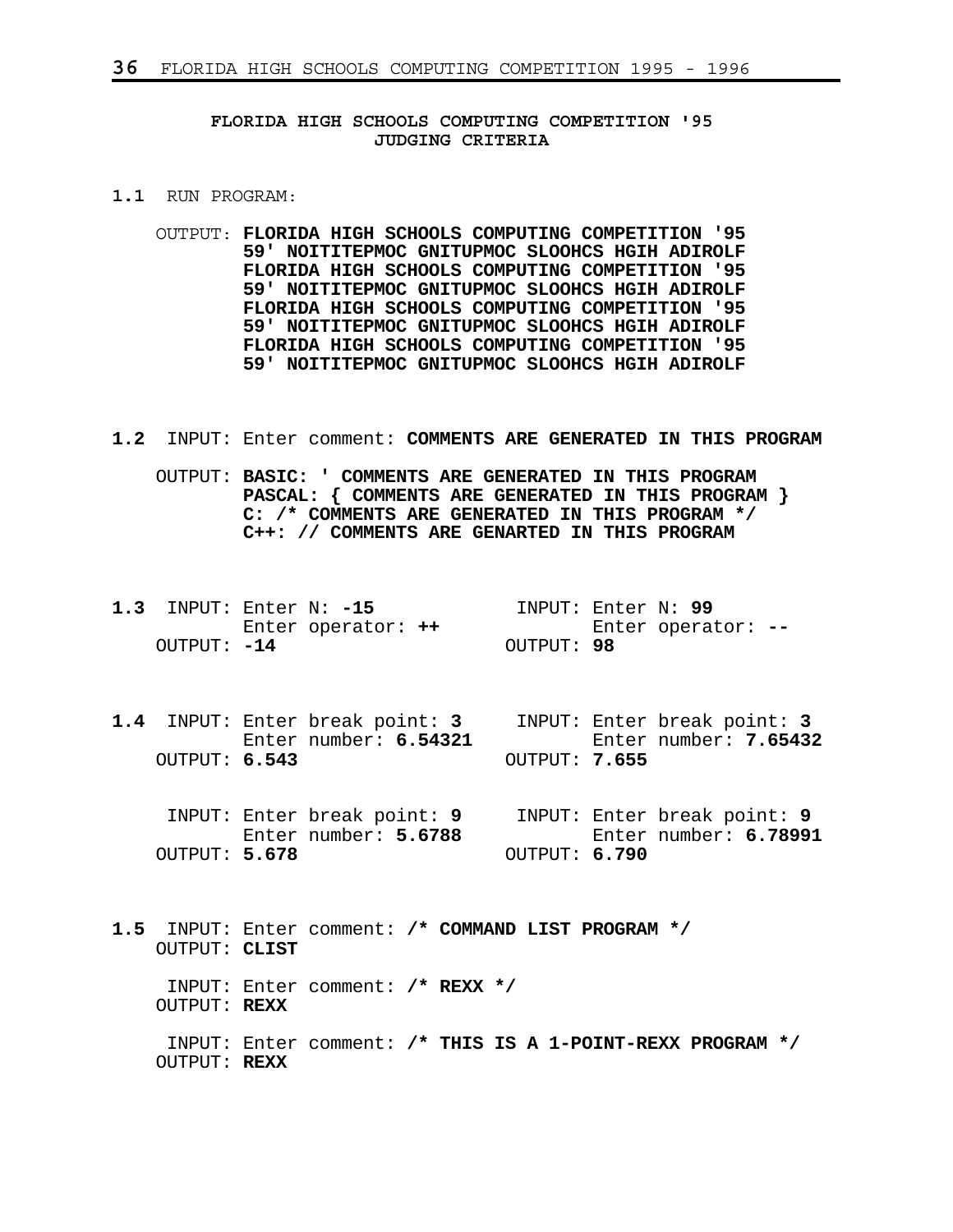## **FLORIDA HIGH SCHOOLS COMPUTING COMPETITION '95 JUDGING CRITERIA**

- **1.1** RUN PROGRAM:
	- OUTPUT: **FLORIDA HIGH SCHOOLS COMPUTING COMPETITION '95 59' NOITITEPMOC GNITUPMOC SLOOHCS HGIH ADIROLF FLORIDA HIGH SCHOOLS COMPUTING COMPETITION '95 59' NOITITEPMOC GNITUPMOC SLOOHCS HGIH ADIROLF 59' NOITITEPMOC GNITUPMOC SLOOHCS HGIH ADIROLF FLORIDA HIGH SCHOOLS COMPUTING COMPETITION '95 FLORIDA HIGH SCHOOLS COMPUTING COMPETITION '95 59' NOITITEPMOC GNITUPMOC SLOOHCS HGIH ADIROLF**
- **1.2** INPUT: Enter comment: **COMMENTS ARE GENERATED IN THIS PROGRAM**

 OUTPUT: **BASIC: ' COMMENTS ARE GENERATED IN THIS PROGRAM PASCAL: { COMMENTS ARE GENERATED IN THIS PROGRAM } C: /\* COMMENTS ARE GENERATED IN THIS PROGRAM \*/ C++: // COMMENTS ARE GENARTED IN THIS PROGRAM**

- **1.3** INPUT: Enter N: **-15** INPUT: Enter N: **99** Enter operator: **++** Enter operator: **--** OUTPUT: **-14** OUTPUT: **98**
- **1.4** INPUT: Enter break point: INPUT: Enter break point: **3 3** Enter number: **6.54321** Enter number: **7.65432** OUTPUT: **6.543** OUTPUT: **7.655**
- INPUT: Enter break point: 9 **INPUT: Enter break point: 9**  Enter number: **5.6788** Enter number: **6.78991** OUTPUT: **5.678** OUTPUT: **6.790**
- **1.5** INPUT: Enter comment: **/\* COMMAND LIST PROGRAM \*/** OUTPUT: **CLIST** INPUT: Enter comment: **/\* REXX \*/** OUTPUT: **REXX** INPUT: Enter comment: **/\* THIS IS A 1-POINT-REXX PROGRAM \*/** OUTPUT: **REXX**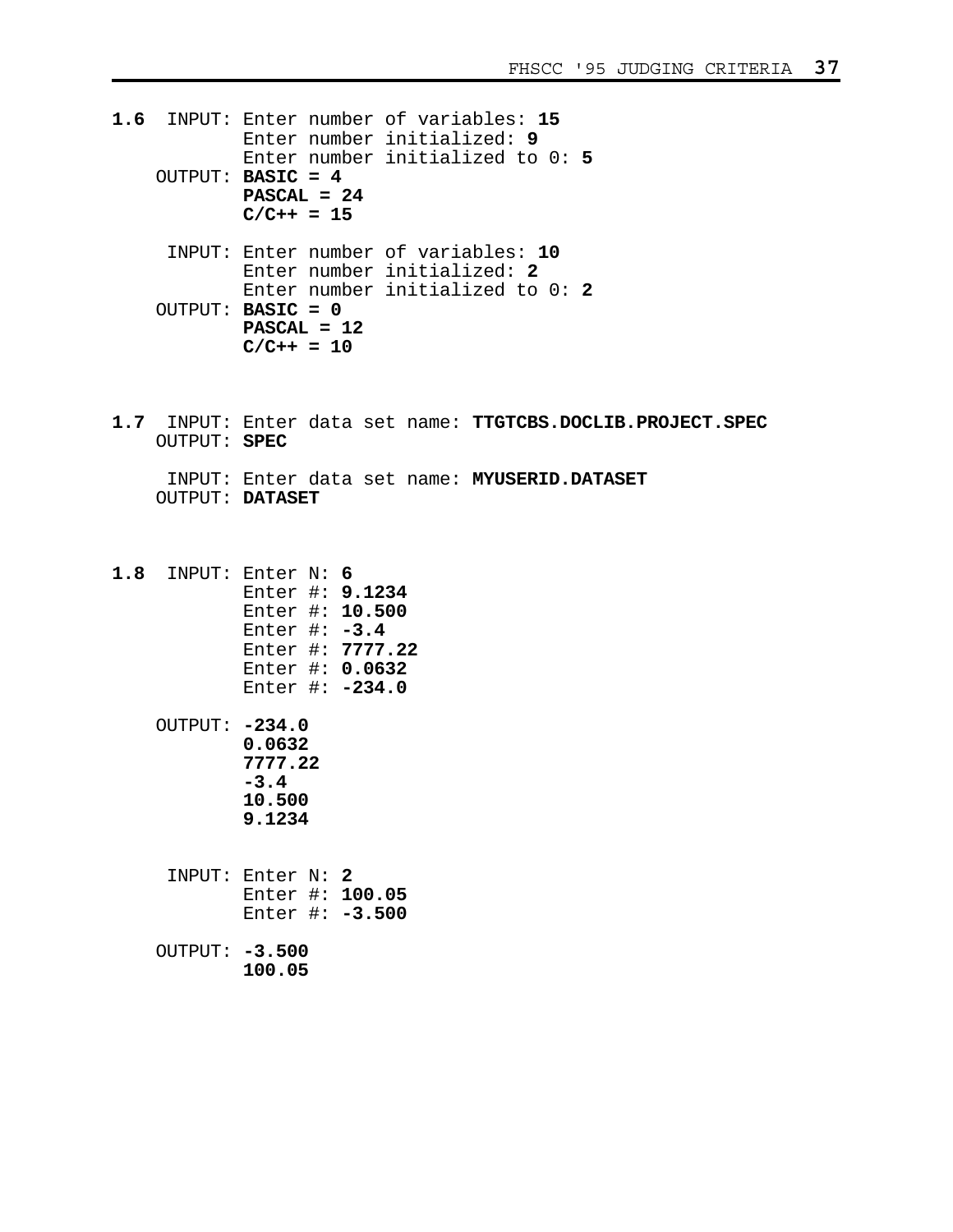- **1.6** INPUT: Enter number of variables: **15** Enter number initialized: **9** Enter number initialized to 0: **5** OUTPUT: **BASIC = 4 PASCAL = 24**   $C/C++ = 15$  INPUT: Enter number of variables: **10** Enter number initialized: **2** Enter number initialized to 0: **2** OUTPUT: **BASIC = 0 PASCAL = 12**   $C/C++ = 10$
- **1.7** INPUT: Enter data set name: **TTGTCBS.DOCLIB.PROJECT.SPEC** OUTPUT: **SPEC**

 INPUT: Enter data set name: **MYUSERID.DATASET**  OUTPUT: **DATASET**

**1.8** INPUT: Enter N: **6** Enter #: **9.1234** Enter #: **10.500** Enter #: **-3.4** Enter #: **7777.22** Enter #: **0.0632** Enter #: **-234.0** OUTPUT: **-234.0 0.0632 7777.22 -3.4 10.500 9.1234** INPUT: Enter N: **2** Enter #: **100.05** Enter #: **-3.500** OUTPUT: **-3.500 100.05**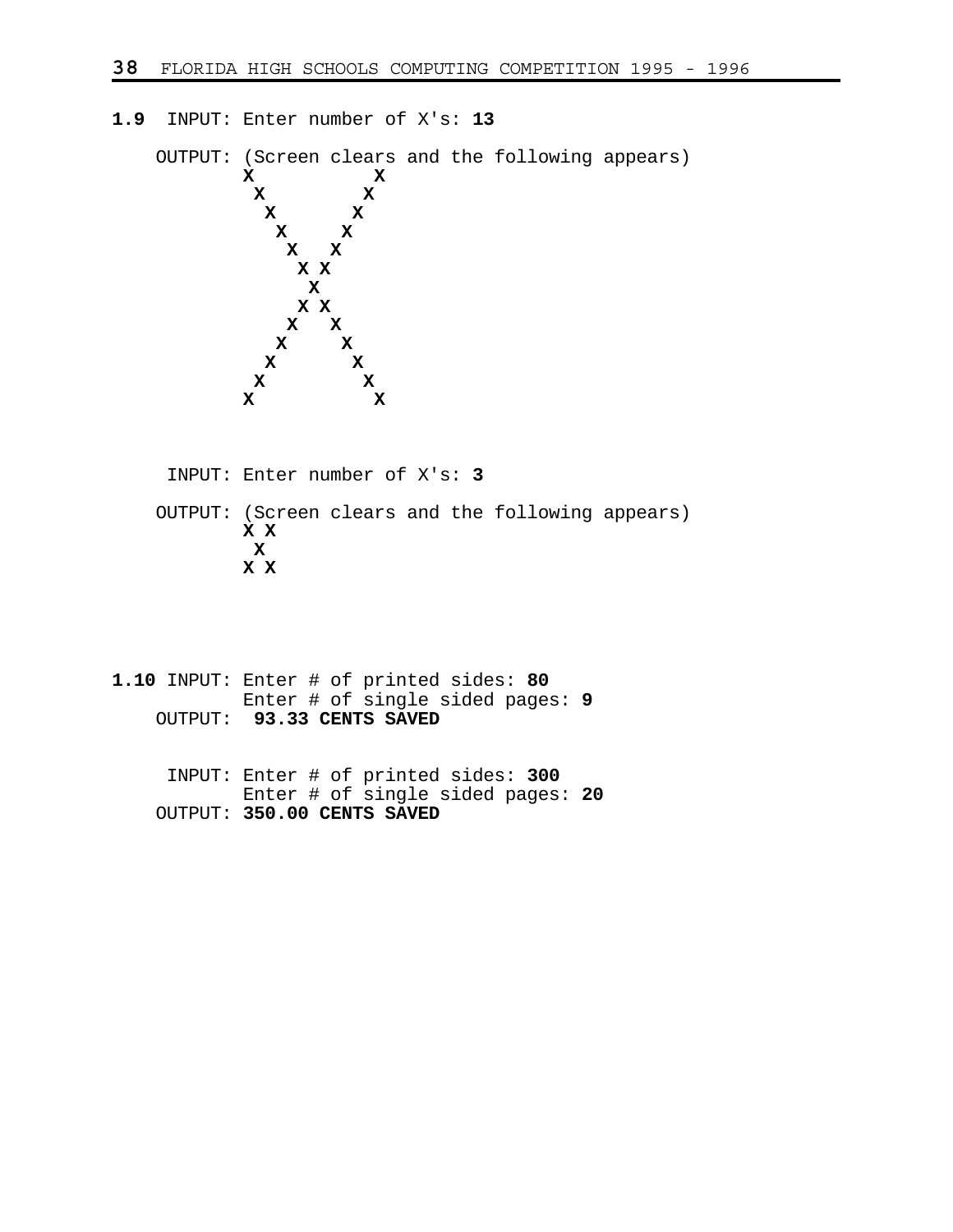**1.9** INPUT: Enter number of X's: **13**

OUTPUT: (Screen clears and the following appears)  $\begin{array}{cc} \n x & \quad x \n\end{array}$ **x** X X  **X X x** X X **x** X X **x x x X X x** X **X X X x x x x** X X **x** X X **x** X X  **X X**

 INPUT: Enter number of X's: **3** OUTPUT: (Screen clears and the following appears)  **X X X X X**

- **1.10** INPUT: Enter # of printed sides: **80** Enter # of single sided pages: **9** OUTPUT: **93.33 CENTS SAVED**
	- INPUT: Enter # of printed sides: **300** Enter # of single sided pages: **20** OUTPUT: **350.00 CENTS SAVED**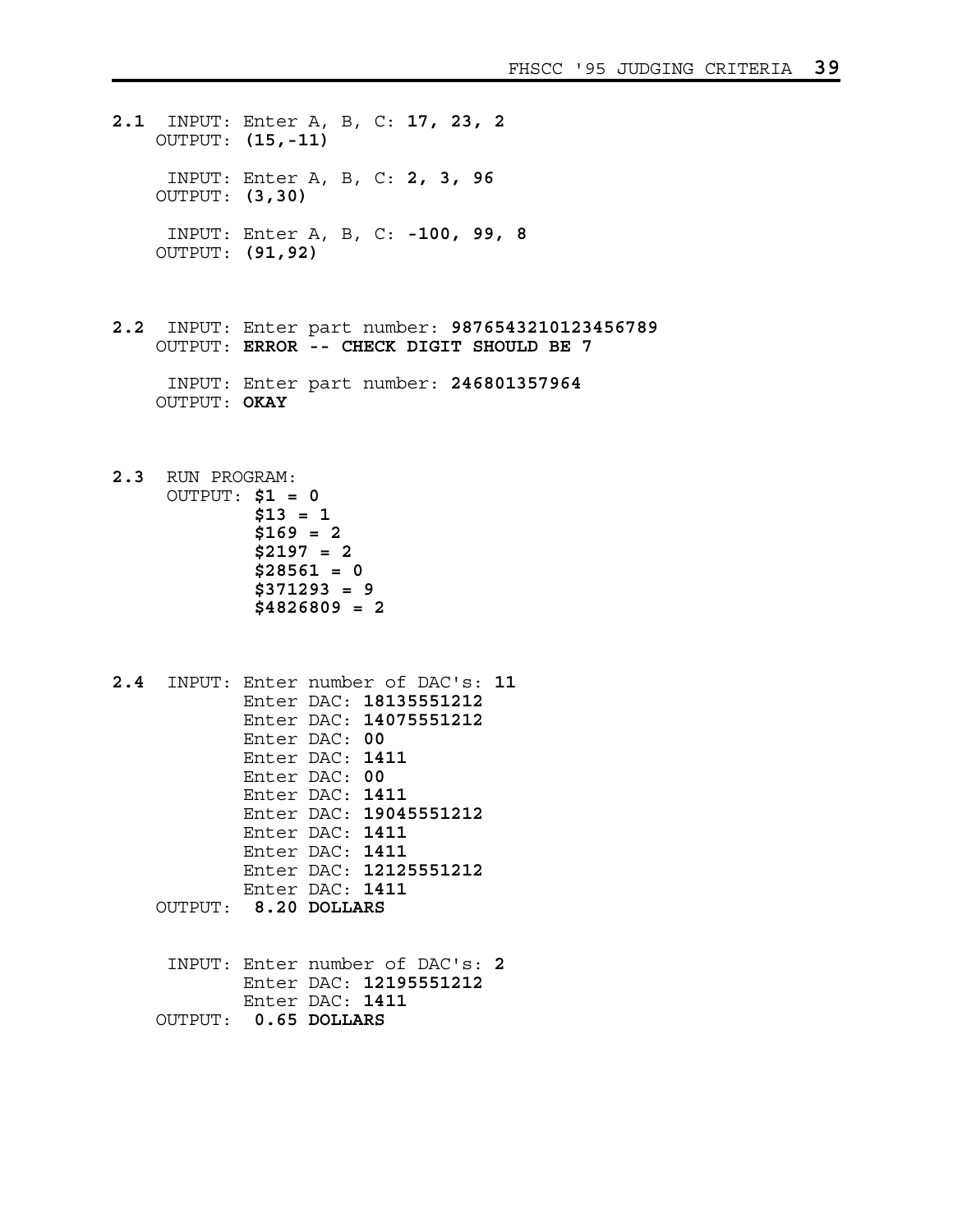- **2.1** INPUT: Enter A, B, C: **17, 23, 2** OUTPUT: **(15,-11)** INPUT: Enter A, B, C: **2, 3, 96** OUTPUT: **(3,30)** INPUT: Enter A, B, C: **-100, 99, 8** OUTPUT: **(91,92)**
- **2.2** INPUT: Enter part number: **9876543210123456789** OUTPUT: **ERROR -- CHECK DIGIT SHOULD BE 7**
	- INPUT: Enter part number: **246801357964** OUTPUT: **OKAY**
- **2.3** RUN PROGRAM: OUTPUT: **\$1 = 0 \$13 = 1 \$169 = 2 \$2197 = 2 \$28561 = 0 \$371293 = 9 \$4826809 = 2**
- **2.4** INPUT: Enter number of DAC's: **11** Enter DAC: **18135551212** Enter DAC: **14075551212** Enter DAC: **00** Enter DAC: **1411** Enter DAC: **00** Enter DAC: **1411** Enter DAC: **19045551212** Enter DAC: **1411** Enter DAC: **1411** Enter DAC: **12125551212** Enter DAC: **1411** OUTPUT: **8.20 DOLLARS**
	- INPUT: Enter number of DAC's: **2** Enter DAC: **12195551212** Enter DAC: **1411** OUTPUT: **0.65 DOLLARS**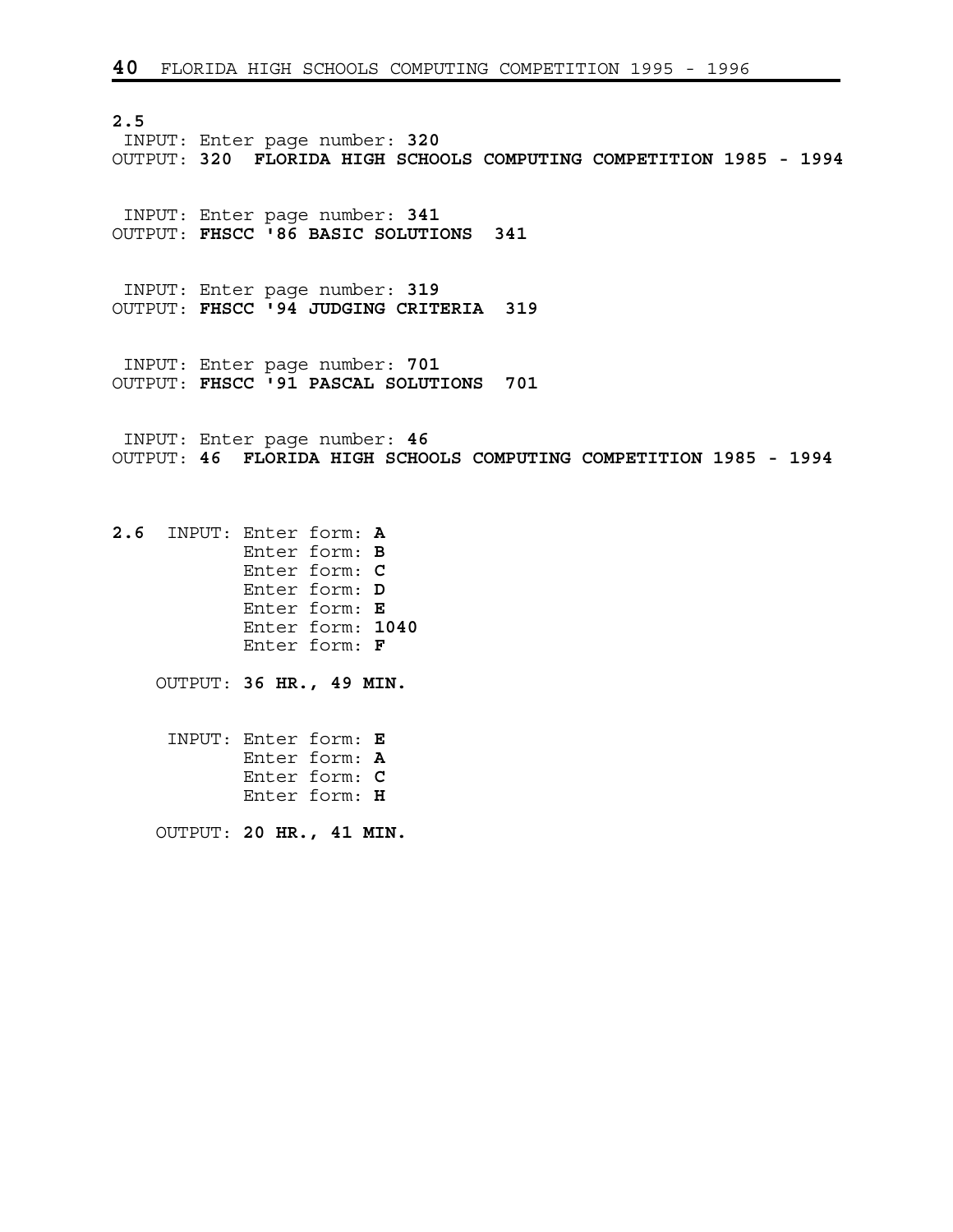**2.5**

 INPUT: Enter page number: **320** OUTPUT: **320 FLORIDA HIGH SCHOOLS COMPUTING COMPETITION 1985 - 1994**

 INPUT: Enter page number: **341** OUTPUT: **FHSCC '86 BASIC SOLUTIONS 341**

 INPUT: Enter page number: **319** OUTPUT: **FHSCC '94 JUDGING CRITERIA 319**

 INPUT: Enter page number: **701** OUTPUT: **FHSCC '91 PASCAL SOLUTIONS 701**

 INPUT: Enter page number: **46** OUTPUT: **46 FLORIDA HIGH SCHOOLS COMPUTING COMPETITION 1985 - 1994**

**2.6** INPUT: Enter form: **A** Enter form: **B** Enter form: **C** Enter form: **D** Enter form: **E** Enter form: **1040** Enter form: **F**

OUTPUT: **36 HR., 49 MIN.**

 INPUT: Enter form: **E** Enter form: **A** Enter form: **C** Enter form: **H**

OUTPUT: **20 HR., 41 MIN.**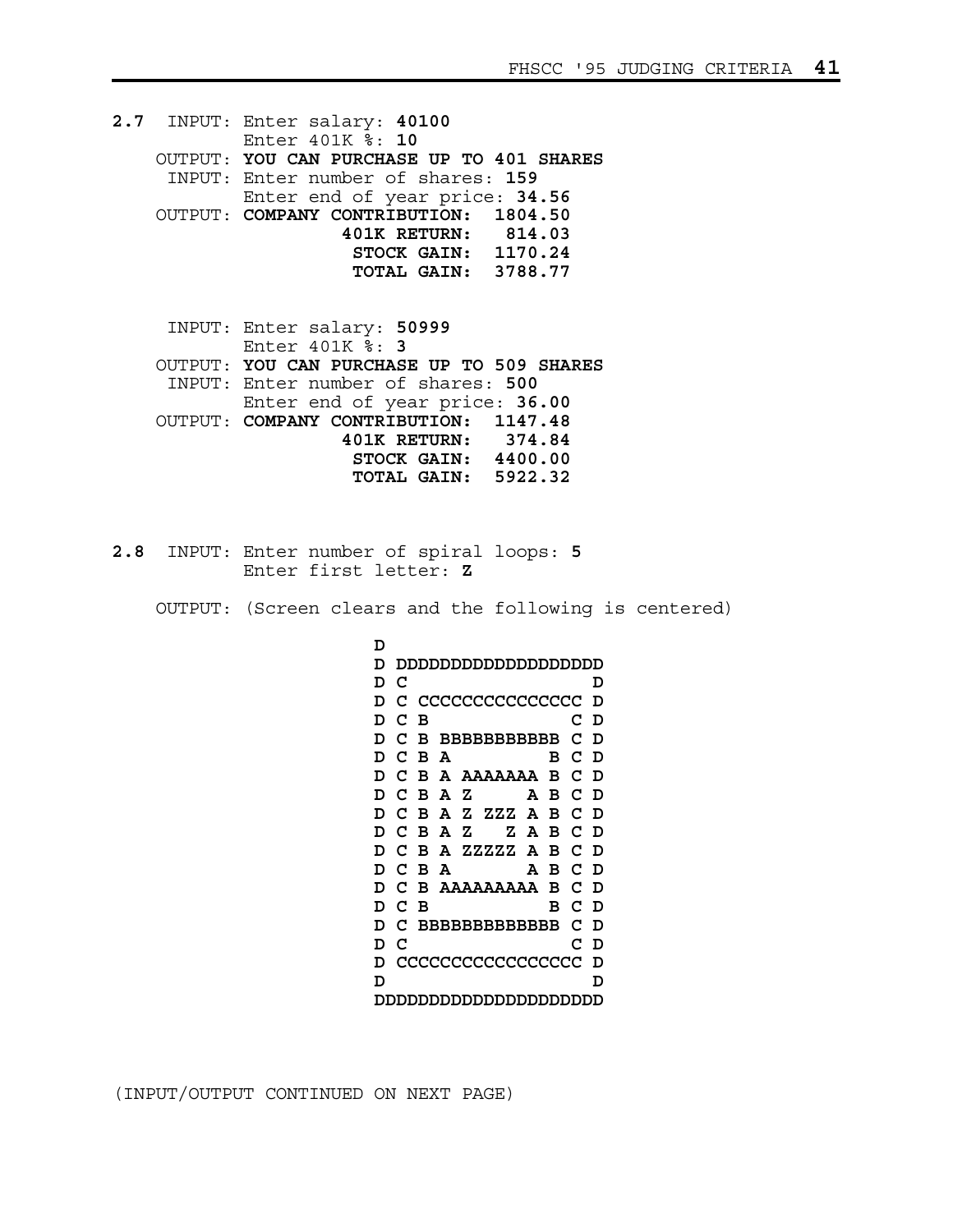**2.7** INPUT: Enter salary: **40100** Enter 401K %: **10** OUTPUT: **YOU CAN PURCHASE UP TO 401 SHARES** INPUT: Enter number of shares: **159** Enter end of year price: **34.56** OUTPUT: **COMPANY CONTRIBUTION: 1804.50 401K RETURN: 814.03 STOCK GAIN: 1170.24 TOTAL GAIN: 3788.77**

 INPUT: Enter salary: **50999** Enter 401K %: **3** OUTPUT: **YOU CAN PURCHASE UP TO 509 SHARES** INPUT: Enter number of shares: **500** Enter end of year price: **36.00** OUTPUT: **COMPANY CONTRIBUTION: 1147.48 401K RETURN: 374.84 STOCK GAIN: 4400.00 TOTAL GAIN: 5922.32**

**2.8** INPUT: Enter number of spiral loops: **5** Enter first letter: **Z**

OUTPUT: (Screen clears and the following is centered)

 **D D DDDDDDDDDDDDDDDDDDD D C D D C CCCCCCCCCCCCCCC D D C B C D D C B BBBBBBBBBBB C D D C B A B C D D C B A AAAAAAA B C D D C B A Z A B C D D C B A Z ZZZ A B C D D C B A Z Z A B C D D C B A ZZZZZ A B C D D C B A A B C D D C B AAAAAAAAA B C D D C B B C D D C BBBBBBBBBBBBB C D D C C D D CCCCCCCCCCCCCCCCC D D D DDDDDDDDDDDDDDDDDDDDD**

(INPUT/OUTPUT CONTINUED ON NEXT PAGE)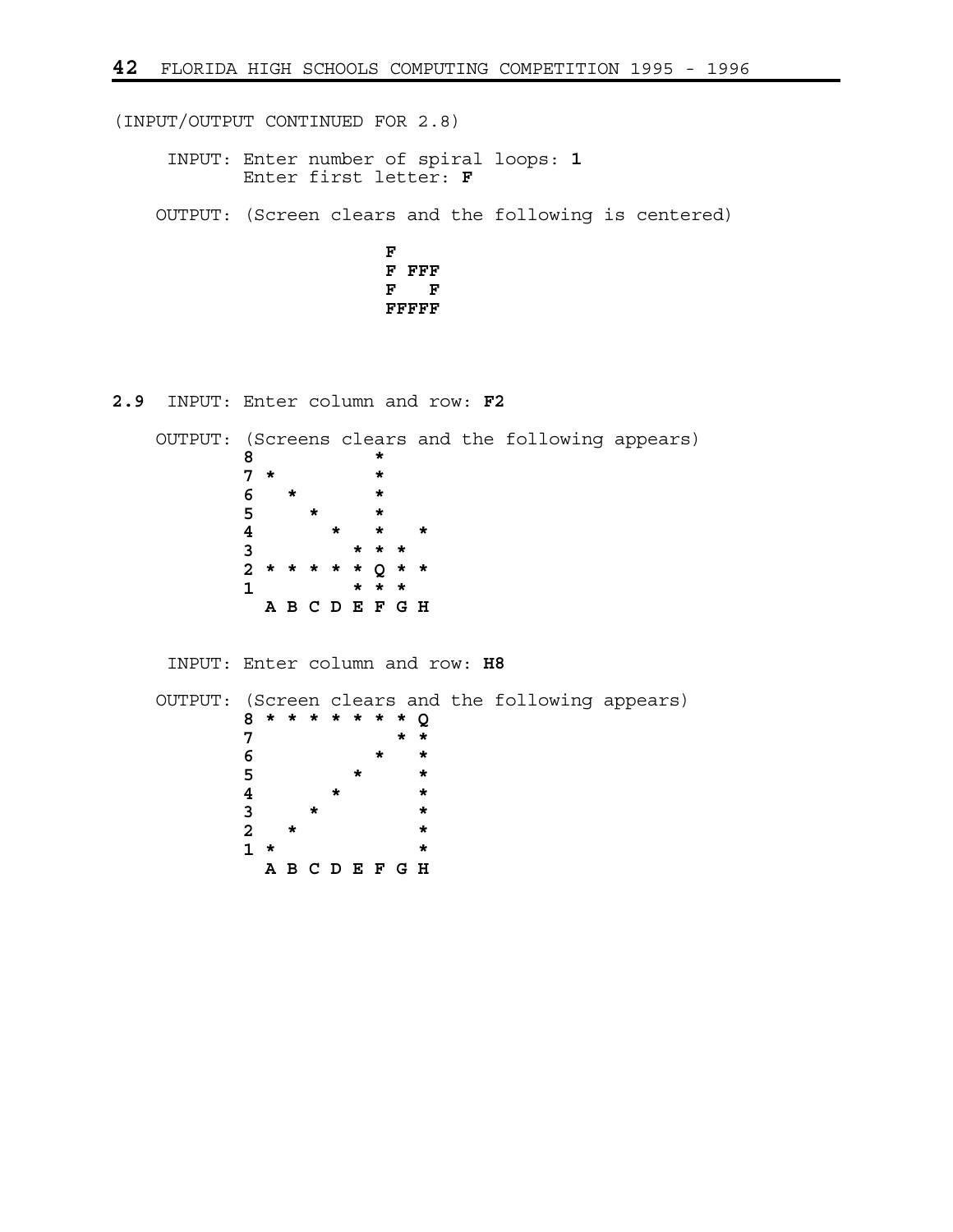(INPUT/OUTPUT CONTINUED FOR 2.8)

 INPUT: Enter number of spiral loops: **1** Enter first letter: **F**

OUTPUT: (Screen clears and the following is centered)

**F F F FFF F F F FFFFF**

**2.9** INPUT: Enter column and row: **F2**

 OUTPUT: (Screens clears and the following appears) **8** \* \*  **7 \* \* 6 \* \* 5** \* \*  **4 \* \* \* 3 \* \* \* 2 \* \* \* \* \* Q \* \* 1 \* \* \* A B C D E F G H**

INPUT: Enter column and row: **H8**

 OUTPUT: (Screen clears and the following appears) **8 \* \* \* \* \* \* \* Q 7 \* \* 6 \* \* 5** \* \* \*  **4 \* \* 3** \* \* \* **2** \* \* **1** \* \* \*  **A B C D E F G H**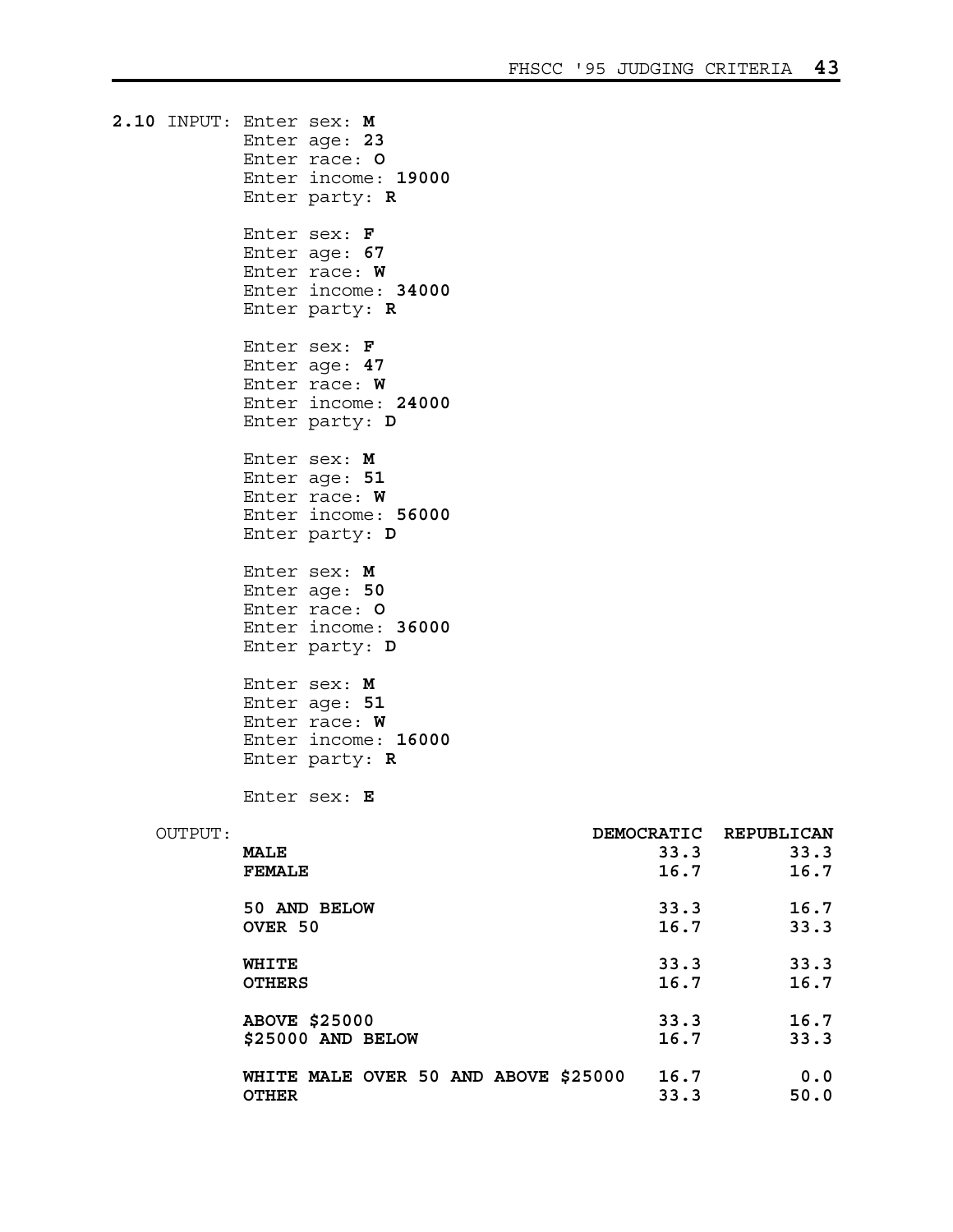|                | 2.10 INPUT: Enter sex: M<br>Enter age: 23<br>Enter race: 0<br>Enter income: 19000<br>Enter party: R<br>Enter sex: $F$<br>Enter age: 67<br>Enter race: W<br>Enter income: 34000<br>Enter party: R<br>Enter sex: $F$<br>Enter age: 47<br>Enter race: W<br>Enter income: 24000<br>Enter party: D<br>Enter sex: M<br>Enter age: 51<br>Enter race: W<br>Enter income: 56000<br>Enter party: D<br>Enter sex: M<br>Enter age: 50<br>Enter race: 0<br>Enter income: 36000<br>Enter party: D<br>Enter sex: M<br>Enter age: 51<br>Enter race: W<br>Enter income: 16000 |                                       |              |
|----------------|--------------------------------------------------------------------------------------------------------------------------------------------------------------------------------------------------------------------------------------------------------------------------------------------------------------------------------------------------------------------------------------------------------------------------------------------------------------------------------------------------------------------------------------------------------------|---------------------------------------|--------------|
|                | Enter party: R                                                                                                                                                                                                                                                                                                                                                                                                                                                                                                                                               |                                       |              |
|                | Enter sex: $E$                                                                                                                                                                                                                                                                                                                                                                                                                                                                                                                                               |                                       |              |
| <b>OUTPUT:</b> | <b>MALE</b><br><b>FEMALE</b>                                                                                                                                                                                                                                                                                                                                                                                                                                                                                                                                 | DEMOCRATIC REPUBLICAN<br>33.3<br>16.7 | 33.3<br>16.7 |
|                | 50 AND BELOW                                                                                                                                                                                                                                                                                                                                                                                                                                                                                                                                                 | 33.3                                  | 16.7         |
|                | OVER 50                                                                                                                                                                                                                                                                                                                                                                                                                                                                                                                                                      | 16.7                                  | 33.3         |
|                | <b>WHITE</b>                                                                                                                                                                                                                                                                                                                                                                                                                                                                                                                                                 | 33.3                                  | 33.3         |
|                | <b>OTHERS</b>                                                                                                                                                                                                                                                                                                                                                                                                                                                                                                                                                | 16.7                                  | 16.7         |
|                | <b>ABOVE \$25000</b>                                                                                                                                                                                                                                                                                                                                                                                                                                                                                                                                         | 33.3                                  | 16.7         |
|                | \$25000 AND BELOW                                                                                                                                                                                                                                                                                                                                                                                                                                                                                                                                            | 16.7                                  | 33.3         |
|                | WHITE MALE OVER 50 AND ABOVE \$25000                                                                                                                                                                                                                                                                                                                                                                                                                                                                                                                         | 16.7                                  | 0.0          |
|                | <b>OTHER</b>                                                                                                                                                                                                                                                                                                                                                                                                                                                                                                                                                 | 33.3                                  | 50.0         |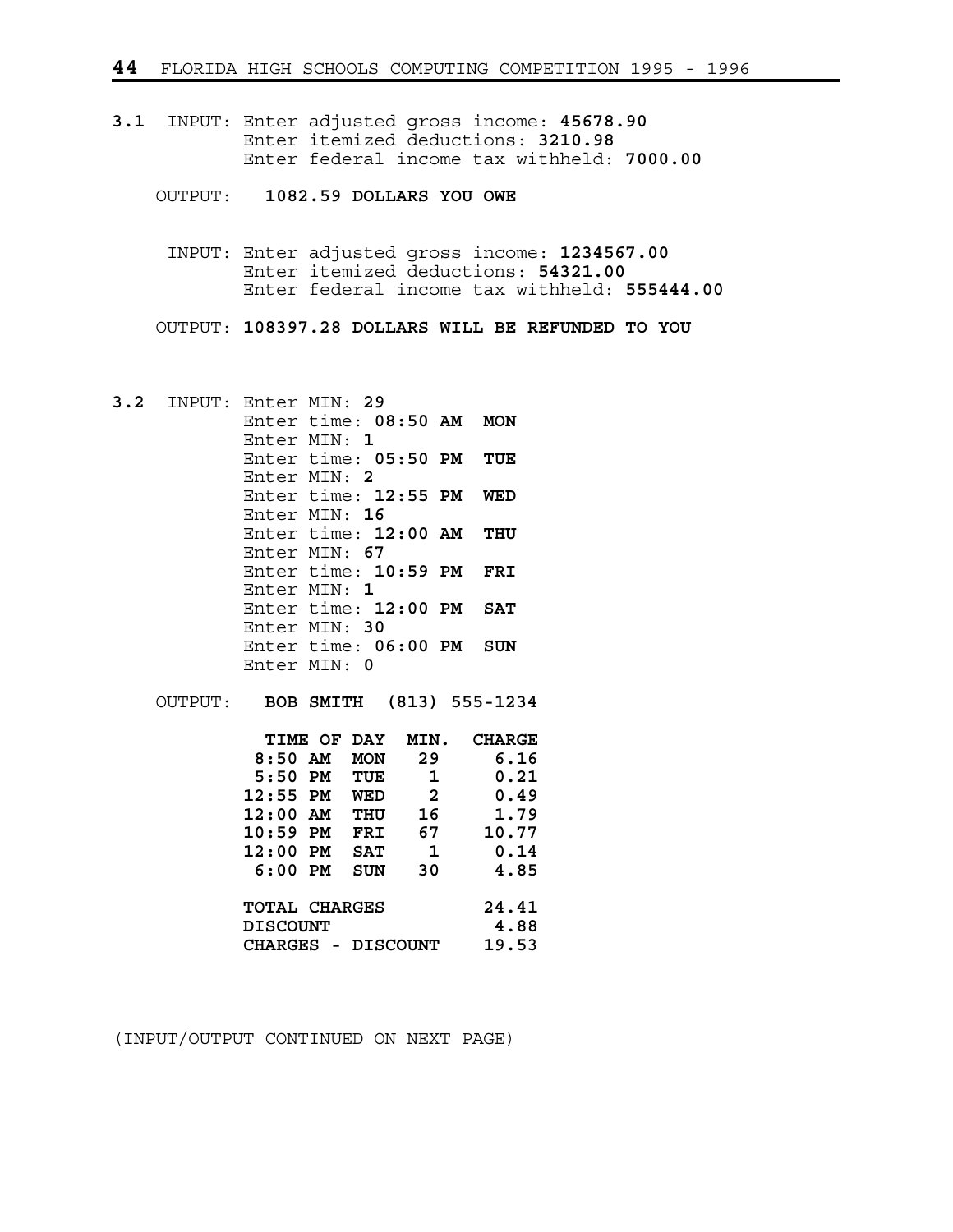- **3.1** INPUT: Enter adjusted gross income: **45678.90** Enter itemized deductions: **3210.98** Enter federal income tax withheld: **7000.00**
	- OUTPUT: **1082.59 DOLLARS YOU OWE**
		- INPUT: Enter adjusted gross income: **1234567.00** Enter itemized deductions: **54321.00** Enter federal income tax withheld: **555444.00**
	- OUTPUT: **108397.28 DOLLARS WILL BE REFUNDED TO YOU**
- **3.2** INPUT: Enter MIN: **29** Enter time: **08:50 AM MON** Enter MIN: **1** Enter time: **05:50 PM TUE** Enter MIN: **2** Enter time: **12:55 PM WED** Enter MIN: **16** Enter time: **12:00 AM THU** Enter MIN: **67** Enter time: **10:59 PM FRI** Enter MIN: **1** Enter time: **12:00 PM SAT** Enter MIN: **30** Enter time: **06:00 PM SUN** Enter MIN: **0**
	- OUTPUT: **BOB SMITH (813) 555-1234**

| TIME OF           | <b>DAY</b> | MIN.     | <b>CHARGE</b> |
|-------------------|------------|----------|---------------|
| $8:50$ AM         | <b>MON</b> | 29       | 6.16          |
| $5:50$ PM         | TUE        | 1        | 0.21          |
| $12:55$ PM        | WED        | -2       | 0.49          |
| $12:00$ AM        | THU        | 16       | 1.79          |
| $10:59$ PM        | FRI        | 67       | 10.77         |
| $12:00$ PM        | <b>SAT</b> | 1        | 0.14          |
| $6:00$ PM         | <b>SUN</b> | 30       | 4.85          |
| TOTAL CHARGES     |            |          | 24.41         |
| DISCOUNT          |            |          | 4.88          |
| CHARGES<br>$\sim$ |            | DISCOUNT | 19.53         |

(INPUT/OUTPUT CONTINUED ON NEXT PAGE)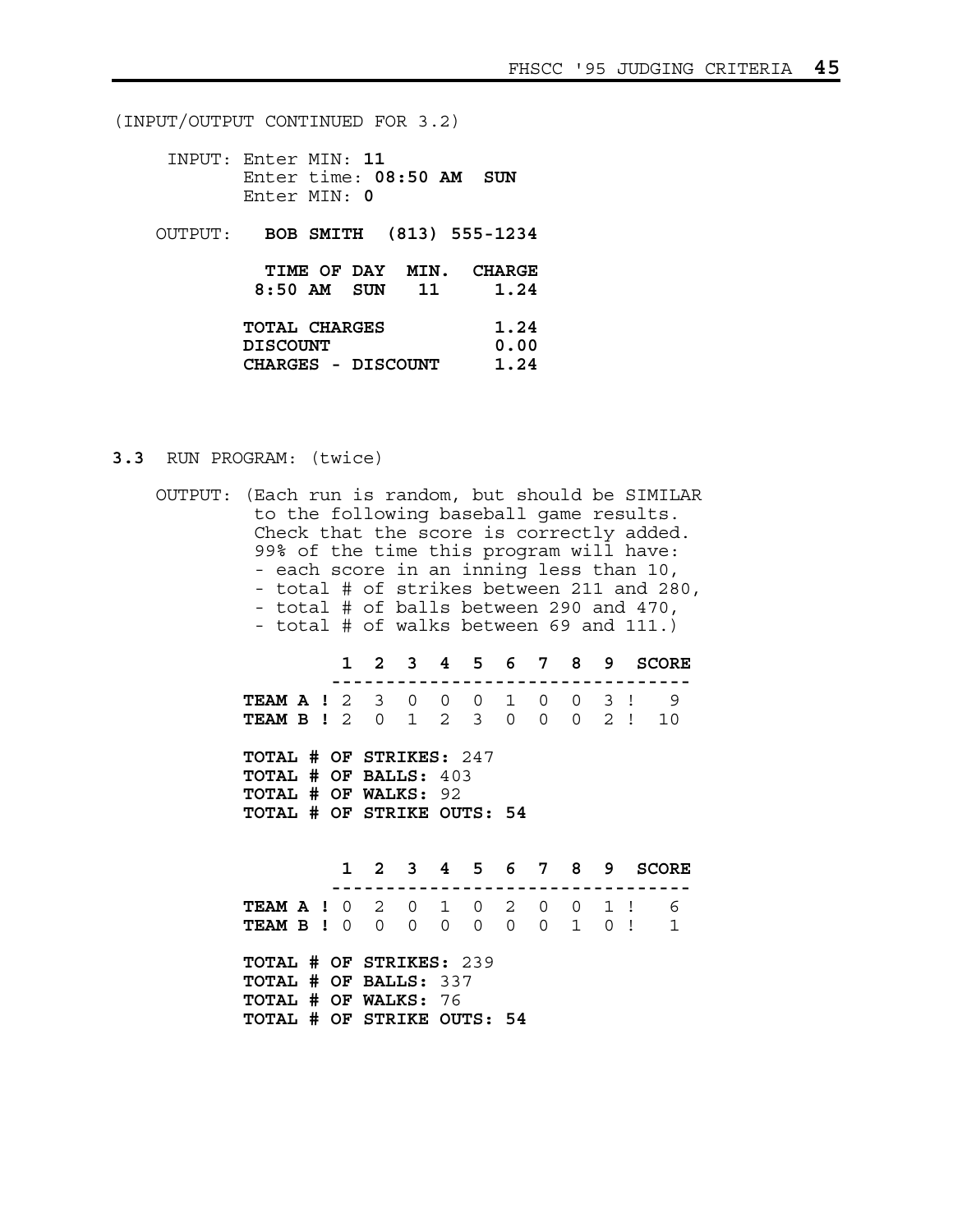(INPUT/OUTPUT CONTINUED FOR 3.2)

- INPUT: Enter MIN: **11** Enter time: **08:50 AM SUN** Enter MIN: **0**
- OUTPUT: **BOB SMITH (813) 555-1234**

|  |                | TIME OF DAY MIN. CHARGE |
|--|----------------|-------------------------|
|  | 8:50 AM SUN 11 | 1.24                    |
|  |                |                         |

| TOTAL CHARGES      | 1.24 |
|--------------------|------|
| DISCOUNT           | 0.00 |
| CHARGES - DISCOUNT | 1.24 |

## **3.3** RUN PROGRAM: (twice)

 OUTPUT: (Each run is random, but should be SIMILAR to the following baseball game results. Check that the score is correctly added. 99% of the time this program will have: - each score in an inning less than 10, - total # of strikes between 211 and 280, - total # of balls between 290 and 470, - total # of walks between 69 and 111.)

|                                                                                                               |  |  |               |  |   | 1 2 3 4 5 6 7 8 9 SCORE |
|---------------------------------------------------------------------------------------------------------------|--|--|---------------|--|---|-------------------------|
| <b>TEAM A !</b> 2 3 0 0 0 1 0 0 3 !<br><b>TEAM B !</b> 2 0 1 2 3 0 0 0 2 !                                    |  |  |               |  |   | - 9<br>1 O              |
| TOTAL # OF STRIKES: 247<br>TOTAL # OF BALLS: 403<br><b>TOTAL # OF WALKS: 92</b><br>TOTAL # OF STRIKE OUTS: 54 |  |  |               |  |   |                         |
|                                                                                                               |  |  | 2 3 4 5 6 7 8 |  | 9 | sco                     |

 **--------------------------------- TEAM A !** 0 2 0 1 0 2 0 0 1 ! 6  **TEAM B !** 0 0 0 0 0 0 0 1 0 ! 1  **TOTAL # OF STRIKES:** 239  **TOTAL # OF BALLS:** 337  **TOTAL # OF WALKS:** 76  **TOTAL # OF STRIKE OUTS: 54**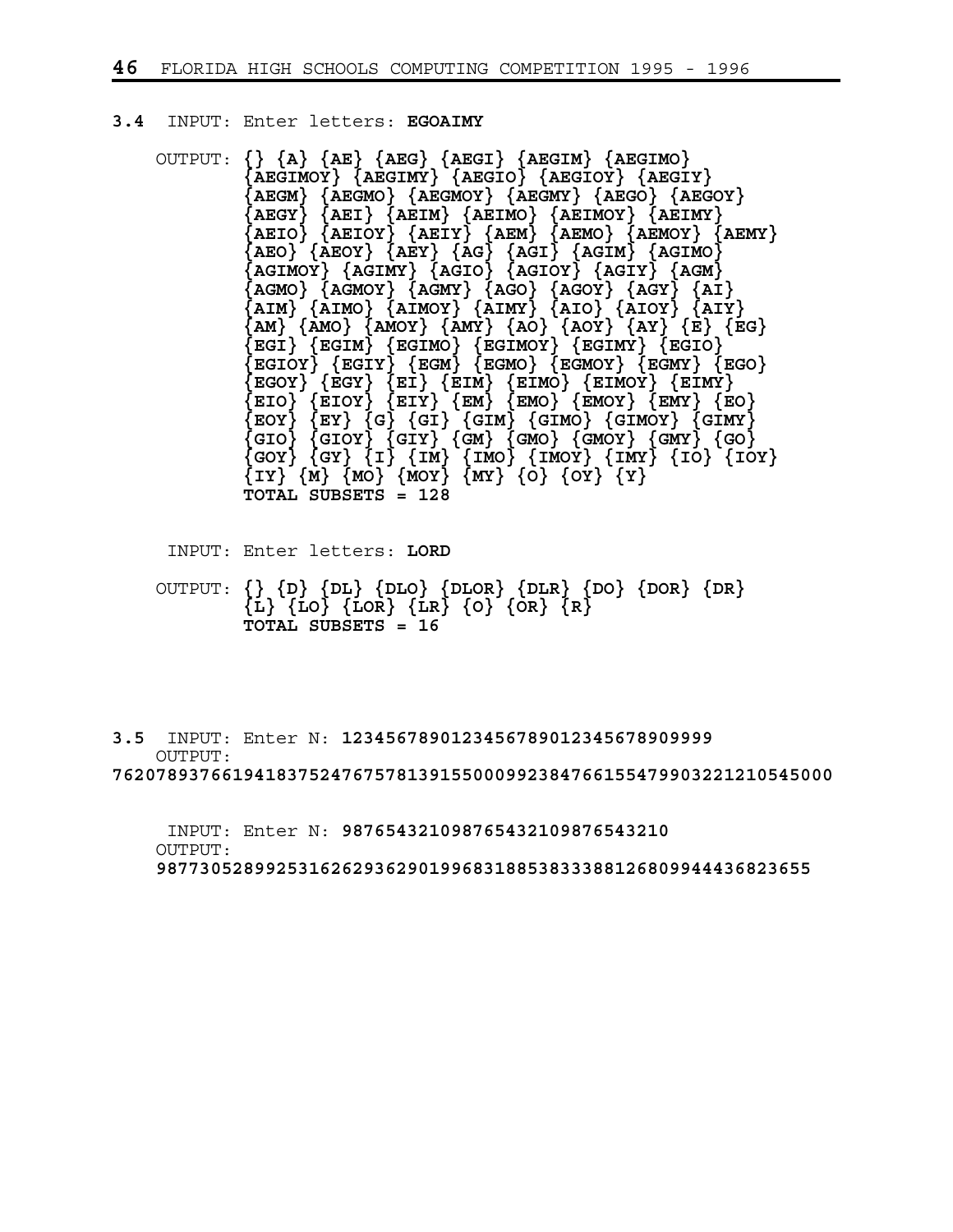- **3.4** INPUT: Enter letters: **EGOAIMY**
- OUTPUT: **{} {A} {AE} {AEG} {AEGI} {AEGIM} {AEGIMO} {AEGIMOY} {AEGIMY} {AEGIO} {AEGIOY} {AEGIY} {AEGM} {AEGMO} {AEGMOY} {AEGMY} {AEGO} {AEGOY} {AEGY} {AEI} {AEIM} {AEIMO} {AEIMOY} {AEIMY} {AEIO} {AEIOY} {AEIY} {AEM} {AEMO} {AEMOY} {AEMY} {AEO} {AEOY} {AEY} {AG} {AGI} {AGIM} {AGIMO} {AGIMOY} {AGIMY} {AGIO} {AGIOY} {AGIY} {AGM} {AGMO} {AGMOY} {AGMY} {AGO} {AGOY} {AGY} {AI} {AIM} {AIMO} {AIMOY} {AIMY} {AIO} {AIOY} {AIY} {AM} {AMO} {AMOY} {AMY} {AO} {AOY} {AY} {E} {EG} {EGI} {EGIM} {EGIMO} {EGIMOY} {EGIMY} {EGIO} {EGIOY} {EGIY} {EGM} {EGMO} {EGMOY} {EGMY} {EGO} {EGOY} {EGY} {EI} {EIM} {EIMO} {EIMOY} {EIMY} {EIO} {EIOY} {EIY} {EM} {EMO} {EMOY} {EMY} {EO} {EOY} {EY} {G} {GI} {GIM} {GIMO} {GIMOY} {GIMY} {GIO} {GIOY} {GIY} {GM} {GMO} {GMOY} {GMY} {GO} {GOY} {GY} {I} {IM} {IMO} {IMOY} {IMY} {IO} {IOY} {IY} {M} {MO} {MOY} {MY} {O} {OY} {Y} TOTAL SUBSETS = 128**
	- INPUT: Enter letters: **LORD**
- OUTPUT: **{} {D} {DL} {DLO} {DLOR} {DLR} {DO} {DOR} {DR}**   $\{L\}$   $\{LO\}$   $\{LOR\}$   $\{LR\}$   $\{O\}$   $\{OR\}$   $\{R\}$  **TOTAL SUBSETS = 16**
- **3.5** INPUT: Enter N: **1234567890123456789012345678909999**  $O$ UTPUT: **762078937661941837524767578139155000992384766155479903221210545000**

 INPUT: Enter N: **987654321098765432109876543210** OUTPUT:  **987730528992531626293629019968318853833388126809944436823655**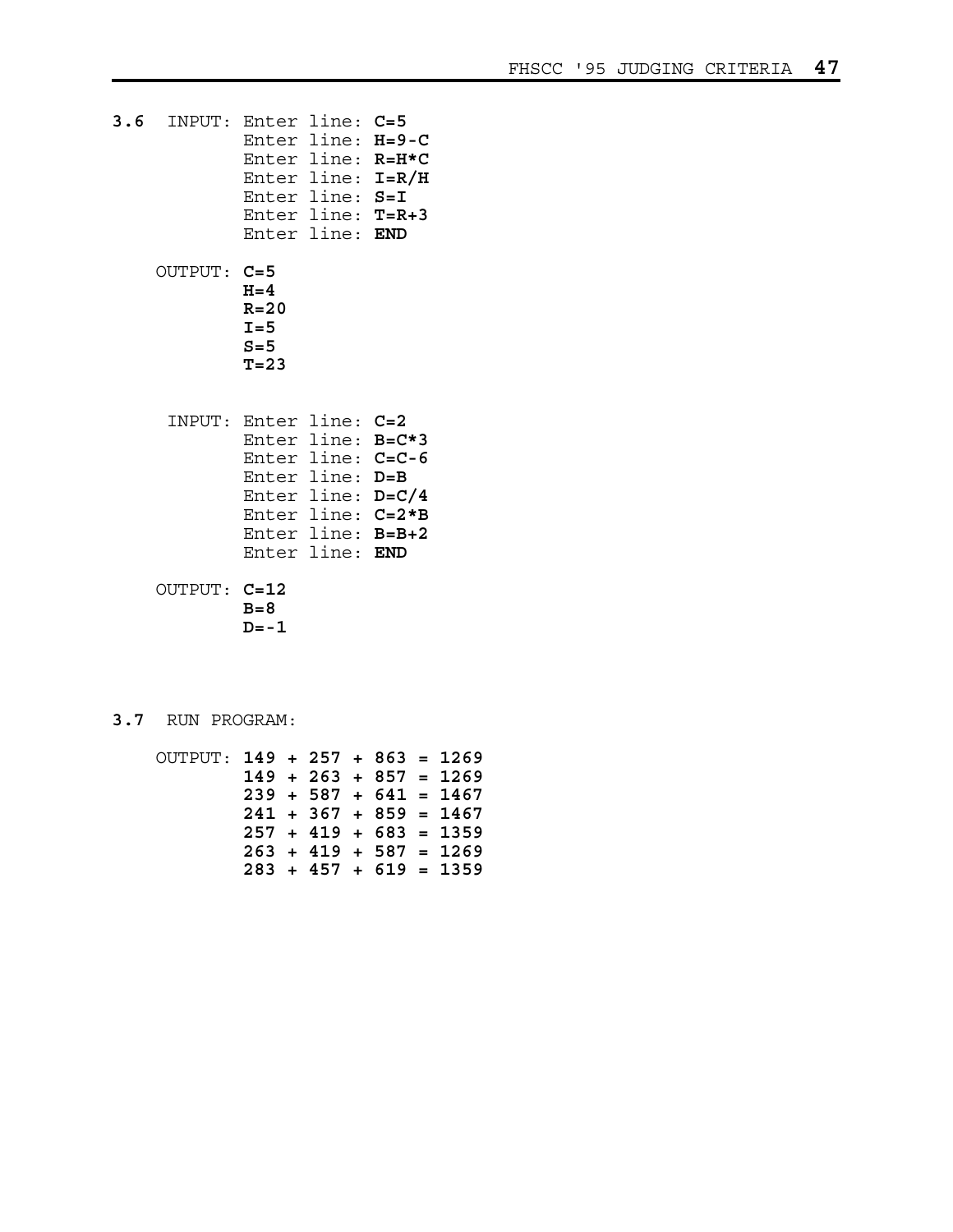- **3.6** INPUT: Enter line: **C=5** Enter line: **H=9-C** Enter line: **R=H\*C** Enter line: **I=R/H** Enter line: **S=I** Enter line: **T=R+3** Enter line: **END** OUTPUT: **C=5 H=4 R=20**   $I=5$  **S=5 T=23** INPUT: Enter line: **C=2** Enter line: **B=C\*3** Enter line: **C=C-6** Enter line: **D=B** Enter line: **D=C/4** Enter line: **C=2\*B** Enter line: **B=B+2** Enter line: **END** OUTPUT: **C=12 B=8 D=-1**
- **3.7** RUN PROGRAM:

| OUTPUT: $149 + 257 + 863 = 1269$ |  |  |  |                          |
|----------------------------------|--|--|--|--------------------------|
|                                  |  |  |  | $149 + 263 + 857 = 1269$ |
|                                  |  |  |  | $239 + 587 + 641 = 1467$ |
|                                  |  |  |  | $241 + 367 + 859 = 1467$ |
|                                  |  |  |  | $257 + 419 + 683 = 1359$ |
|                                  |  |  |  | $263 + 419 + 587 = 1269$ |
|                                  |  |  |  | $283 + 457 + 619 = 1359$ |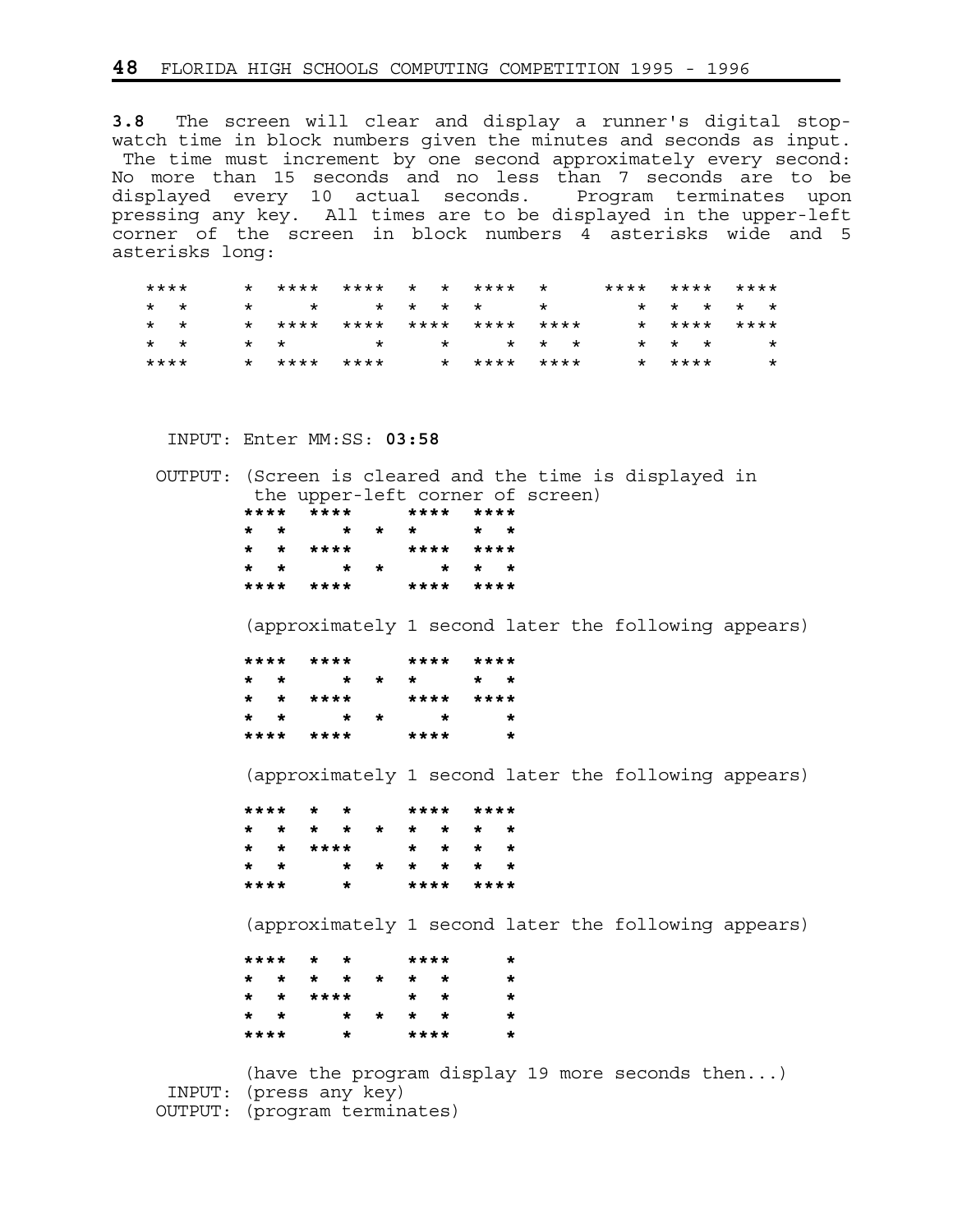**3.8** The screen will clear and display a runner's digital stopwatch time in block numbers given the minutes and seconds as input. The time must increment by one second approximately every second: No more than 15 seconds and no less than 7 seconds are to be displayed every 10 actual seconds. Program terminates upon pressing any key. All times are to be displayed in the upper-left corner of the screen in block numbers 4 asterisks wide and 5 asterisks long:

| ****            |  |  |  | * **** **** * * **** *     |  | **** **** ****          |  |         |
|-----------------|--|--|--|----------------------------|--|-------------------------|--|---------|
| $\star$ $\star$ |  |  |  | * * * * * * *              |  | * * * * *               |  |         |
| $\star$ $\star$ |  |  |  | * **** **** **** **** **** |  | * **** ****             |  |         |
| $\star$ $\star$ |  |  |  | * * * * * * * *            |  | $\star$ $\star$ $\star$ |  |         |
| ****            |  |  |  | * **** **** * **** ****    |  | * ****                  |  | $\star$ |

INPUT: Enter MM:SS: **03:58**

 OUTPUT: (Screen is cleared and the time is displayed in the upper-left corner of screen)<br>\*\*\*\* \*\*\*\* \*\*\*\* \*\*\*\* **\*\*\*\* \*\*\*\* \*\*\*\* \*\*\*\* \* \* \* \* \* \* \* \* \* \*\*\*\* \*\*\*\* \*\*\*\* \* \* \* \* \* \* \* \*\*\*\* \*\*\*\* \*\*\*\* \*\*\*\***

(approximately 1 second later the following appears)

|  | **** ****       | **** **** |   |
|--|-----------------|-----------|---|
|  | * * * * * * * * |           |   |
|  | * * ****        | **** **** |   |
|  | * * * * *       |           | * |
|  | **** ****       | ****      |   |

(approximately 1 second later the following appears)

 **\*\*\*\* \* \* \*\*\*\* \*\*\*\* \* \* \* \* \* \* \* \* \* \* \* \*\*\*\* \* \* \* \* \* \* \* \* \* \* \* \* \*\*\*\* \* \*\*\*\* \*\*\*\***

(approximately 1 second later the following appears)

 **\*\*\*\* \* \* \*\*\*\* \* \* \* \* \* \* \* \* \* \* \* \*\*\*\* \* \* \* \* \* \* \* \* \* \* \*\*\*\* \* \*\*\*\* \***

> (have the program display 19 more seconds then...) INPUT: (press any key) OUTPUT: (program terminates)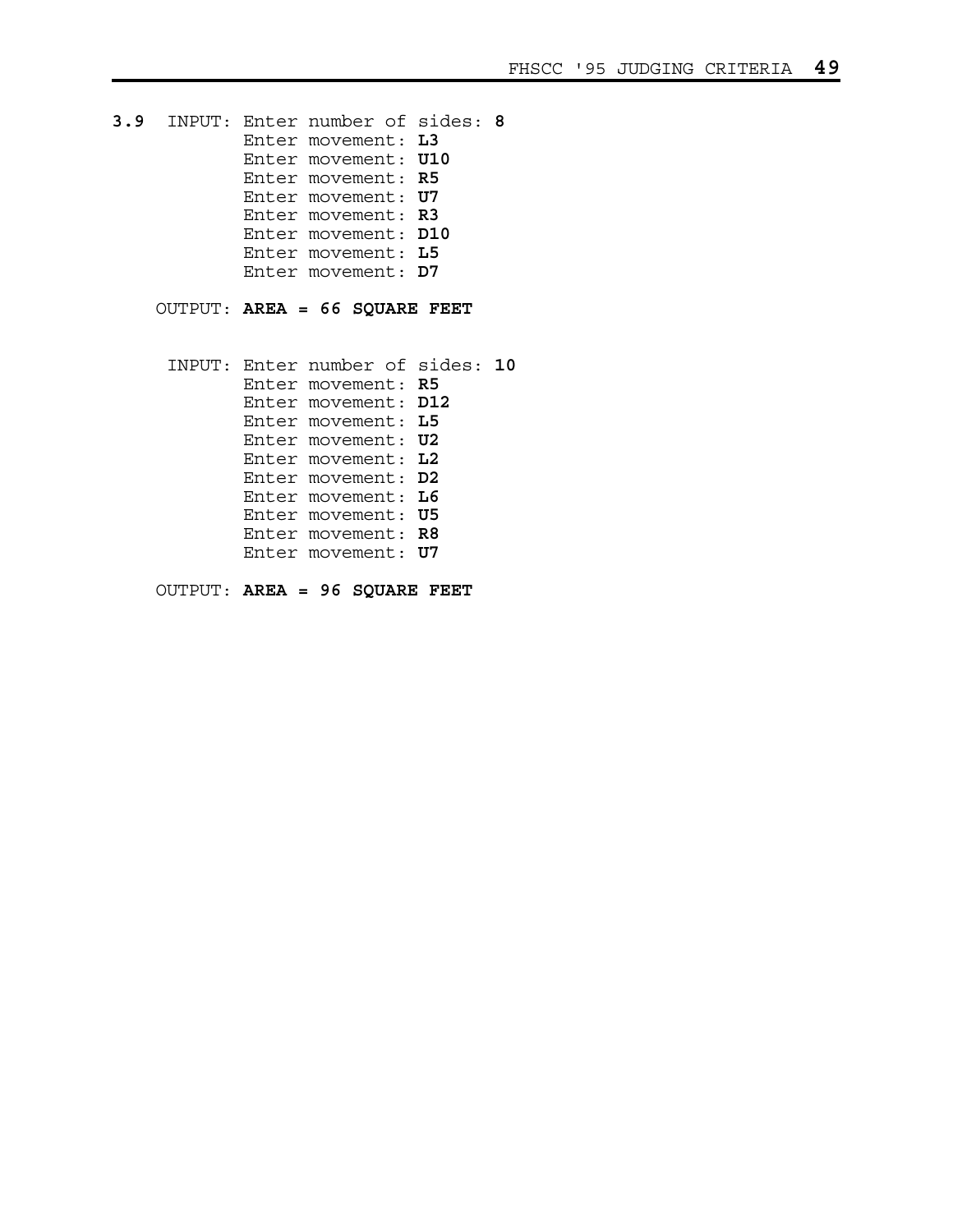**3.9** INPUT: Enter number of sides: **8** Enter movement: **L3** Enter movement: **U10** Enter movement: **R5** Enter movement: **U7** Enter movement: **R3** Enter movement: **D10** Enter movement: **L5** Enter movement: **D7** OUTPUT: **AREA = 66 SQUARE FEET** INPUT: Enter number of sides: **10** Enter movement: **R5** Enter movement: **D12** Enter movement: **L5** Enter movement: **U2** Enter movement: **L2** Enter movement: **D2** Enter movement: **L6** Enter movement: **U5** Enter movement: **R8** Enter movement: **U7**

OUTPUT: **AREA = 96 SQUARE FEET**